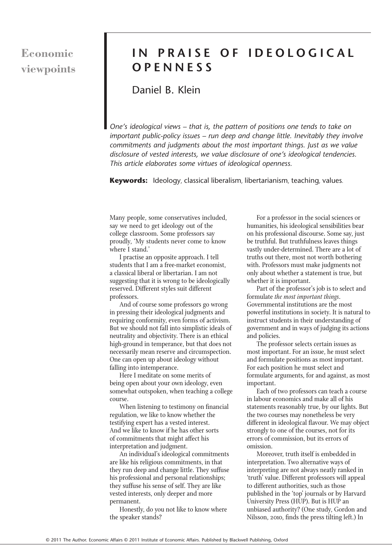# **Economic viewpoints**

# **IN PRAISE OF IDEOLOGICAL OPENNESS**

## Daniel B. Klein

*One's ideological views – that is, the pattern of positions one tends to take on important public-policy issues – run deep and change little. Inevitably they involve commitments and judgments about the most important things. Just as we value disclosure of vested interests, we value disclosure of one's ideological tendencies. This article elaborates some virtues of ideological openness.*

**Keywords:** Ideology, classical liberalism, libertarianism, teaching, values.

Many people, some conservatives included, say we need to get ideology out of the college classroom. Some professors say proudly, 'My students never come to know where I stand.'

I practise an opposite approach. I tell students that I am a free-market economist, a classical liberal or libertarian. I am not suggesting that it is wrong to be ideologically reserved. Different styles suit different professors.

And of course some professors go wrong in pressing their ideological judgments and requiring conformity, even forms of activism. But we should not fall into simplistic ideals of neutrality and objectivity. There is an ethical high-ground in temperance, but that does not necessarily mean reserve and circumspection. One can open up about ideology without falling into intemperance.

Here I meditate on some merits of being open about your own ideology, even somewhat outspoken, when teaching a college course.

When listening to testimony on financial regulation, we like to know whether the testifying expert has a vested interest. And we like to know if he has other sorts of commitments that might affect his interpretation and judgment.

An individual's ideological commitments are like his religious commitments, in that they run deep and change little. They suffuse his professional and personal relationships; they suffuse his sense of self. They are like vested interests, only deeper and more permanent.

Honestly, do you not like to know where the speaker stands?

For a professor in the social sciences or humanities, his ideological sensibilities bear on his professional discourse. Some say, just be truthful. But truthfulness leaves things vastly under-determined. There are a lot of truths out there, most not worth bothering with. Professors must make judgments not only about whether a statement is true, but whether it is important.

Part of the professor's job is to select and formulate *the most important things*. Governmental institutions are the most powerful institutions in society. It is natural to instruct students in their understanding of government and in ways of judging its actions and policies.

The professor selects certain issues as most important. For an issue, he must select and formulate positions as most important. For each position he must select and formulate arguments, for and against, as most important.

Each of two professors can teach a course in labour economics and make all of his statements reasonably true, by our lights. But the two courses may nonetheless be very different in ideological flavour. We may object strongly to one of the courses, not for its errors of commission, but its errors of omission.

Moreover, truth itself is embedded in interpretation. Two alternative ways of interpreting are not always neatly ranked in 'truth' value. Different professors will appeal to different authorities, such as those published in the 'top' journals or by Harvard University Press (HUP). But is HUP an unbiased authority? (One study, Gordon and Nilsson, 2010, finds the press tilting left.) In